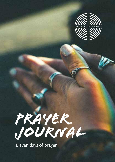

PRAYER<br>JOURNAL

Eleven days of prayer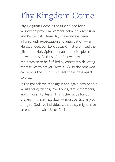# Thy Kingdom Come

*Thy Kingdom Come* is the title coined for a worldwide prayer movement between Ascension and Pentecost. These days have always been infused with expectation and anticipation — as He ascended, our Lord Jesus Christ promised the gift of the Holy Spirit to enable the disciples to be witnesses. As those first followers waited for the promise to be fulfilled by constantly devoting themselves to prayer (*Acts 1:11*), so the renewed call across the church is to set these days apart to pray.

In the gospels we read again and again how people would bring friends, loved ones, family members, and children to Jesus. This is the focus for our prayers in these next days — most particularly to bring to God five individuals, that they might have an encounter with Jesus Christ.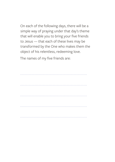On each of the following days, there will be a simple way of praying under that day's theme that will enable you to bring your five friends to Jesus — that each of these lives may be transformed by the One who makes them the object of his relentless, redeeming love.

The names of my five friends are: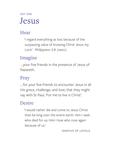## DAY ONE Jesus

#### Hear

'I regard everything as loss because of the surpassing value of knowing Christ Jesus my Lord.' *Philippians 3:8 (NRSV)*

#### Imagine

 … your five friends in the presence of Jesus of Nazareth.

#### Pray

 … for your five friends to encounter Jesus in all His grace, challenge, and love, that they might say with St Paul, 'For me to live is Christ'.

#### Desire

'I would rather die and come to Jesus Christ than be king over the entire earth. Him I seek who died for us; Him I love who rose again because of us.'

Ignatius of Loyola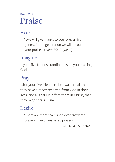## DAY TWO Praise

#### Hear

'… we will give thanks to you forever; from generation to generation we will recount your praise.' *Psalm 79:13 (NRSV)*

#### Imagine

 … your five friends standing beside you praising God.

#### Pray

 … for your five friends to be awake to all that they have already received from God in their lives, and all that He offers them in Christ, that they might praise Him.

#### Desire

'There are more tears shed over answered prayers than unanswered prayers.'

St Teresa of Avila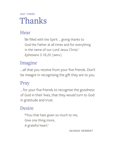## DAY THRFF Thanks

#### Hear

'Be filled with the Spirit … giving thanks to God the Father at all times and for everything in the name of our Lord Jesus Christ.' *Ephesians 5:18,20 (NRSV)*

#### Imagine

… all that you receive from your five friends. Don't be meagre in recognising the gift they are to you.

#### Pray

 … for your five friends to recognise the goodness of God in their lives, that they would turn to God in gratitude and trust.

#### Desire

'Thou that hast given so much to me, Give one thing more, A grateful heart.'

George Herbert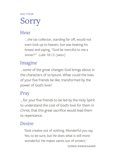#### DAY FOUR

## Sorry

#### Hear

 '…the tax collector, standing far off, would not even look up to heaven, but was beating his breast and saying, "God be merciful to me a sinner!"' *Luke 18:13 (NRSV)*

#### Imagine

 … some of the great changes God brings about in the characters of scripture. What could the lives of your five friends be like, transformed by the power of God's love?

#### Pray

 … for your five friends to be led by the Holy Spirit to understand the cost of God's love for them in Christ; that this great sacrifice would lead them to repentance.

#### Desire

'God creates out of nothing. Wonderful you say. Yes, to be sure, but He does what is still more wonderful: He makes saints out of sinners.'

Soren Kierkegaard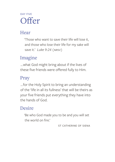## DAY FIVE **Offer**

#### Hear

'Those who want to save their life will lose it, and those who lose their life for my sake will save it.' *Luke 9:24 (NRSV)*

#### Imagine

 … what God might bring about if the lives of these five friends were offered fully to Him.

#### Pray

 … for the Holy Spirit to bring an understanding of the 'life in all its fullness' that will be theirs as your five friends put everything they have into the hands of God.

#### Desire

'Be who God made you to be and you will set the world on fire.'

ST CATHERINE OF SIENA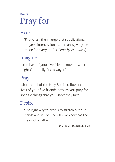## DAY SIX Pray for

#### Hear

'First of all, then, I urge that supplications, prayers, intercessions, and thanksgivings be made for everyone.' *1 Timothy 2:1 (NRSV)*

#### Imagine

 … the lives of your five friends now — where might God really find a way in?

#### Pray

 … for the oil of the Holy Spirit to flow into the lives of your five friends now, as you pray for specific things that you know they face.

#### Desire

'The right way to pray is to stretch out our hands and ask of One who we know has the heart of a Father.'

Dietrich Bonhoeffer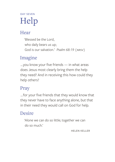## DAY SEVEN Help

#### Hear

'Blessed be the Lord, who daily bears us up; God is our salvation.' *Psalm 68:19 (NRSV)*

#### Imagine

 … you know your five friends — in what areas does Jesus most clearly bring them the help they need? And in receiving this how could they help others?

#### Pray

 … for your five friends that they would know that they never have to face anything alone, but that in their need they would call on God for help.

#### Desire

'Alone we can do so little; together we can do so much.'

Helen Keller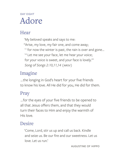## DAY FIGHT Adore

#### Hear

'My beloved speaks and says to me: "Arise, my love, my fair one, and come away;  $11$  for now the winter is past, the rain is over and gone... <sup>14</sup> Let me see your face, let me hear your voice; for your voice is sweet, and your face is lovely."' *Song of Songs 2:10,11,14 (NRSV)*

#### Imagine

 … the longing in God's heart for your five friends to know his love. All He did for you, He did for them.

#### Pray

 … for the eyes of your five friends to be opened to all that Jesus offers them, and that they would turn their faces to Him and enjoy the warmth of His love.

#### Desire

' Come, Lord, stir us up and call us back. Kindle and seize us. Be our fire and our sweetness. Let us love. Let us run.'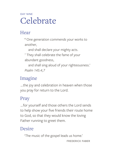## day nine Celebrate

#### Hear

' 4 One generation commends your works to another,

and shall declare your mighty acts.

<sup>7</sup> They shall celebrate the fame of your abundant goodness,

and shall sing aloud of your righteousness.' *Psalm 145:4,7*

### Imagine

 … the joy and celebration in heaven when those you pray for return to the Lord.

#### Pray

 … for yourself and those others the Lord sends to help show your five friends their route home to God, so that they would know the loving Father running to greet them.

#### Desire

' The music of the gospel leads us home.'

Frederick Faber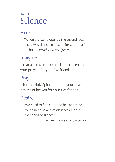## DAY TFN Silence

#### Hear

' When the Lamb opened the seventh seal, there was silence in heaven for about half an hour.' *Revelation 8:1 (NRSV)*

#### Imagine

 … that all heaven stops to listen in silence to your prayers for your five friends.

#### Pray

 … for the Holy Spirit to put on your heart the desires of heaven for your five friends.

#### Desire

' We need to find God, and he cannot be found in noise and restlessness. God is the friend of silence.'

Mother Teresa of Calcutta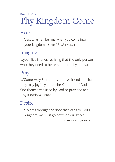## DAY FLEVEN Thy Kingdom Come

#### Hear

' Jesus, remember me when you come into your kingdom.' *Luke 23:42 (NRSV)*

### Imagine

 … your five friends realising that the only person who they need to be remembered by is Jesus.

#### Pray

 … 'Come Holy Spirit' for your five friends — that they may joyfully enter the Kingdom of God and find themselves used by God to pray and act 'Thy Kingdom Come'.

#### Desire

' To pass through the door that leads to God's kingdom, we must go down on our knees.'

Catherine Doherty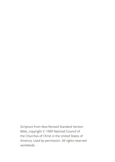Scripture from New Revised Standard Version Bible, copyright © 1989 National Council of the Churches of Christ in the United States of America. Used by permission. All rights reserved worldwide.